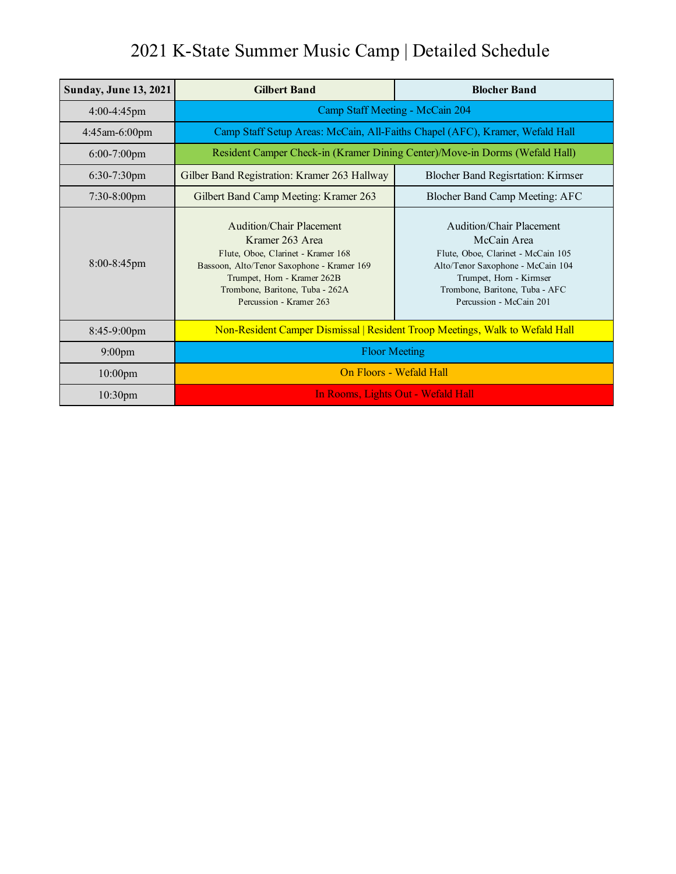| <b>Sunday, June 13, 2021</b> | <b>Gilbert Band</b>                                                                                                                                                                                                          | <b>Blocher Band</b>                                                                                                                                                                                        |
|------------------------------|------------------------------------------------------------------------------------------------------------------------------------------------------------------------------------------------------------------------------|------------------------------------------------------------------------------------------------------------------------------------------------------------------------------------------------------------|
| 4:00-4:45pm                  | Camp Staff Meeting - McCain 204                                                                                                                                                                                              |                                                                                                                                                                                                            |
| $4:45$ am-6:00pm             | Camp Staff Setup Areas: McCain, All-Faiths Chapel (AFC), Kramer, Wefald Hall                                                                                                                                                 |                                                                                                                                                                                                            |
| $6:00-7:00$ pm               | Resident Camper Check-in (Kramer Dining Center)/Move-in Dorms (Wefald Hall)                                                                                                                                                  |                                                                                                                                                                                                            |
| 6:30-7:30pm                  | Gilber Band Registration: Kramer 263 Hallway                                                                                                                                                                                 | <b>Blocher Band Regisrtation: Kirmser</b>                                                                                                                                                                  |
| $7:30-8:00$ pm               | Gilbert Band Camp Meeting: Kramer 263                                                                                                                                                                                        | Blocher Band Camp Meeting: AFC                                                                                                                                                                             |
| $8:00-8:45$ pm               | Audition/Chair Placement<br>Kramer 263 Area<br>Flute, Oboe, Clarinet - Kramer 168<br>Bassoon, Alto/Tenor Saxophone - Kramer 169<br>Trumpet, Horn - Kramer 262B<br>Trombone, Baritone, Tuba - 262A<br>Percussion - Kramer 263 | Audition/Chair Placement<br>McCain Area<br>Flute, Oboe, Clarinet - McCain 105<br>Alto/Tenor Saxophone - McCain 104<br>Trumpet, Horn - Kirmser<br>Trombone, Baritone, Tuba - AFC<br>Percussion - McCain 201 |
| 8:45-9:00pm                  | Non-Resident Camper Dismissal   Resident Troop Meetings, Walk to Wefald Hall                                                                                                                                                 |                                                                                                                                                                                                            |
| $9:00$ pm                    | <b>Floor Meeting</b>                                                                                                                                                                                                         |                                                                                                                                                                                                            |
| $10:00$ pm                   | On Floors - Wefald Hall                                                                                                                                                                                                      |                                                                                                                                                                                                            |
| 10:30 <sub>pm</sub>          | In Rooms, Lights Out - Wefald Hall                                                                                                                                                                                           |                                                                                                                                                                                                            |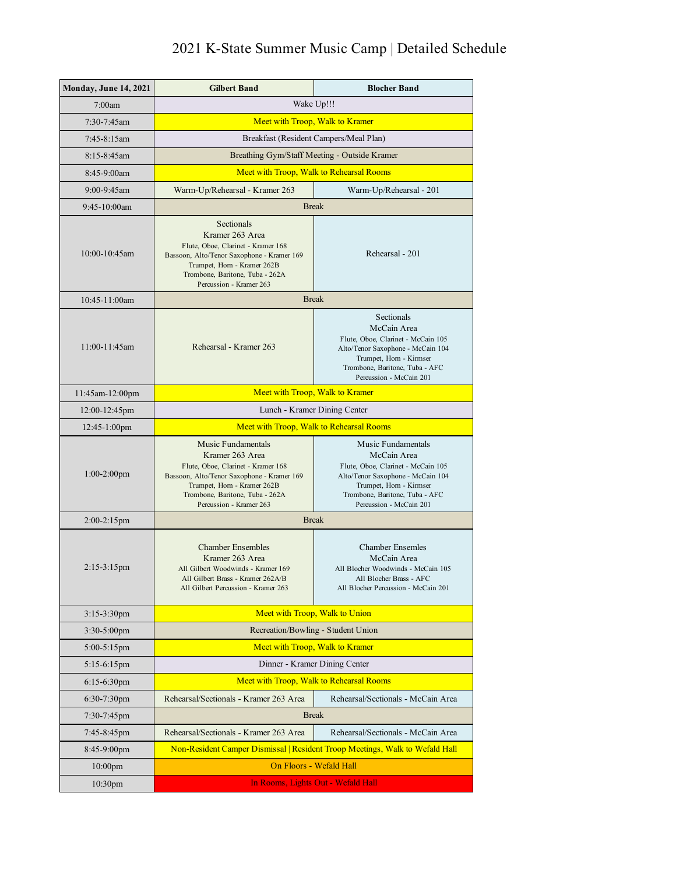| <b>Monday, June 14, 2021</b> | <b>Gilbert Band</b>                                                                                                                                                                                                    | <b>Blocher Band</b>                                                                                                                                                                                  |  |
|------------------------------|------------------------------------------------------------------------------------------------------------------------------------------------------------------------------------------------------------------------|------------------------------------------------------------------------------------------------------------------------------------------------------------------------------------------------------|--|
| 7:00am                       | Wake Up!!!                                                                                                                                                                                                             |                                                                                                                                                                                                      |  |
| $7:30 - 7:45$ am             | Meet with Troop, Walk to Kramer                                                                                                                                                                                        |                                                                                                                                                                                                      |  |
| $7:45-8:15$ am               |                                                                                                                                                                                                                        | Breakfast (Resident Campers/Meal Plan)                                                                                                                                                               |  |
| 8:15-8:45am                  |                                                                                                                                                                                                                        | Breathing Gym/Staff Meeting - Outside Kramer                                                                                                                                                         |  |
| 8:45-9:00am                  |                                                                                                                                                                                                                        | Meet with Troop, Walk to Rehearsal Rooms                                                                                                                                                             |  |
| 9:00-9:45am                  | Warm-Up/Rehearsal - Kramer 263                                                                                                                                                                                         | Warm-Up/Rehearsal - 201                                                                                                                                                                              |  |
| 9:45-10:00am                 | <b>Break</b>                                                                                                                                                                                                           |                                                                                                                                                                                                      |  |
| $10:00 - 10:45$ am           | Sectionals<br>Kramer 263 Area<br>Flute, Oboe, Clarinet - Kramer 168<br>Bassoon, Alto/Tenor Saxophone - Kramer 169<br>Trumpet, Horn - Kramer 262B<br>Trombone, Baritone, Tuba - 262A<br>Percussion - Kramer 263         | Rehearsal - 201                                                                                                                                                                                      |  |
| 10:45-11:00am                | <b>Break</b>                                                                                                                                                                                                           |                                                                                                                                                                                                      |  |
| $11:00 - 11:45$ am           | Rehearsal - Kramer 263                                                                                                                                                                                                 | Sectionals<br>McCain Area<br>Flute, Oboe, Clarinet - McCain 105<br>Alto/Tenor Saxophone - McCain 104<br>Trumpet, Horn - Kirmser<br>Trombone, Baritone, Tuba - AFC<br>Percussion - McCain 201         |  |
| 11:45am-12:00pm              | Meet with Troop, Walk to Kramer                                                                                                                                                                                        |                                                                                                                                                                                                      |  |
| 12:00-12:45pm                | Lunch - Kramer Dining Center                                                                                                                                                                                           |                                                                                                                                                                                                      |  |
| $12:45-1:00$ pm              | Meet with Troop, Walk to Rehearsal Rooms                                                                                                                                                                               |                                                                                                                                                                                                      |  |
| $1:00-2:00$ pm               | Music Fundamentals<br>Kramer 263 Area<br>Flute, Oboe, Clarinet - Kramer 168<br>Bassoon, Alto/Tenor Saxophone - Kramer 169<br>Trumpet, Horn - Kramer 262B<br>Trombone, Baritone, Tuba - 262A<br>Percussion - Kramer 263 | Music Fundamentals<br>McCain Area<br>Flute, Oboe, Clarinet - McCain 105<br>Alto/Tenor Saxophone - McCain 104<br>Trumpet, Horn - Kirmser<br>Trombone, Baritone, Tuba - AFC<br>Percussion - McCain 201 |  |
| $2:00-2:15$ pm               | <b>Break</b>                                                                                                                                                                                                           |                                                                                                                                                                                                      |  |
| $2:15-3:15$ pm               | <b>Chamber Ensembles</b><br>Kramer 263 Area<br>All Gilbert Woodwinds - Kramer 169<br>All Gilbert Brass - Kramer 262A/B<br>All Gilbert Percussion - Kramer 263                                                          | <b>Chamber Ensemles</b><br>McCain Area<br>All Blocher Woodwinds - McCain 105<br>All Blocher Brass - AFC<br>All Blocher Percussion - McCain 201                                                       |  |
| 3:15-3:30pm                  | Meet with Troop, Walk to Union                                                                                                                                                                                         |                                                                                                                                                                                                      |  |
| 3:30-5:00pm                  |                                                                                                                                                                                                                        | Recreation/Bowling - Student Union                                                                                                                                                                   |  |
| $5:00-5:15$ pm               |                                                                                                                                                                                                                        | Meet with Troop, Walk to Kramer                                                                                                                                                                      |  |
| $5:15-6:15$ pm               | Dinner - Kramer Dining Center                                                                                                                                                                                          |                                                                                                                                                                                                      |  |
| $6:15-6:30$ pm               | Meet with Troop, Walk to Rehearsal Rooms                                                                                                                                                                               |                                                                                                                                                                                                      |  |
| $6:30-7:30$ pm               | Rehearsal/Sectionals - Kramer 263 Area                                                                                                                                                                                 | Rehearsal/Sectionals - McCain Area                                                                                                                                                                   |  |
| 7:30-7:45pm                  | <b>Break</b>                                                                                                                                                                                                           |                                                                                                                                                                                                      |  |
| 7:45-8:45pm                  | Rehearsal/Sectionals - Kramer 263 Area                                                                                                                                                                                 | Rehearsal/Sectionals - McCain Area                                                                                                                                                                   |  |
| $8:45-9:00$ pm               | Non-Resident Camper Dismissal   Resident Troop Meetings, Walk to Wefald Hall                                                                                                                                           |                                                                                                                                                                                                      |  |
| $10:00$ pm                   | On Floors - Wefald Hall                                                                                                                                                                                                |                                                                                                                                                                                                      |  |
| 10:30pm                      | In Rooms, Lights Out - Wefald Hall                                                                                                                                                                                     |                                                                                                                                                                                                      |  |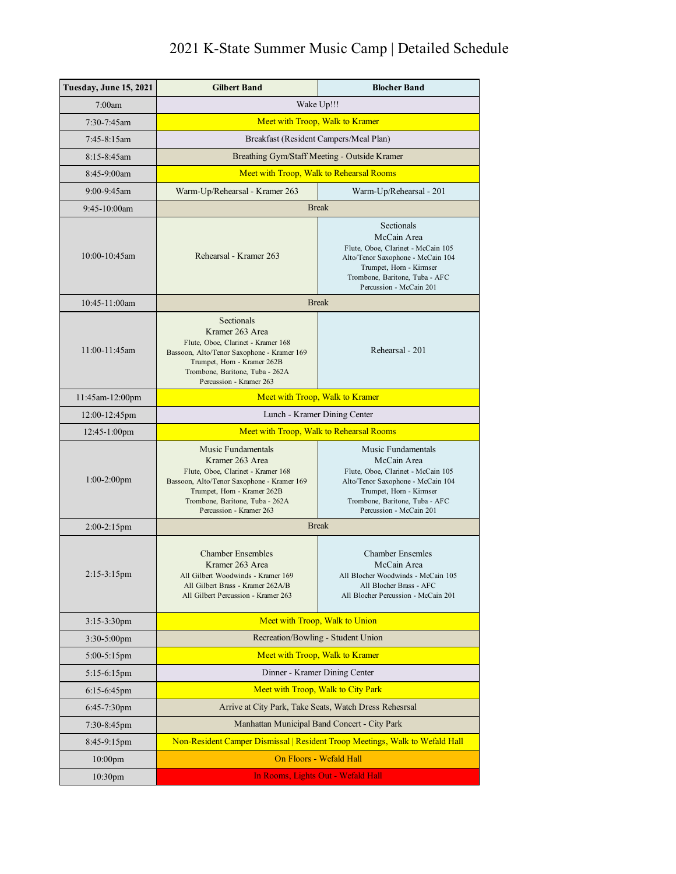| Tuesday, June 15, 2021 | <b>Gilbert Band</b>                                                                                                                                                                                                    | <b>Blocher Band</b>                                                                                                                                                                                  |
|------------------------|------------------------------------------------------------------------------------------------------------------------------------------------------------------------------------------------------------------------|------------------------------------------------------------------------------------------------------------------------------------------------------------------------------------------------------|
| 7:00am                 | Wake Up!!!                                                                                                                                                                                                             |                                                                                                                                                                                                      |
| 7:30-7:45am            | Meet with Troop, Walk to Kramer                                                                                                                                                                                        |                                                                                                                                                                                                      |
| 7:45-8:15am            | Breakfast (Resident Campers/Meal Plan)                                                                                                                                                                                 |                                                                                                                                                                                                      |
| 8:15-8:45am            | Breathing Gym/Staff Meeting - Outside Kramer                                                                                                                                                                           |                                                                                                                                                                                                      |
| 8:45-9:00am            | Meet with Troop, Walk to Rehearsal Rooms                                                                                                                                                                               |                                                                                                                                                                                                      |
| 9:00-9:45am            | Warm-Up/Rehearsal - Kramer 263                                                                                                                                                                                         | Warm-Up/Rehearsal - 201                                                                                                                                                                              |
| 9:45-10:00am           | <b>Break</b>                                                                                                                                                                                                           |                                                                                                                                                                                                      |
| 10:00-10:45am          | Rehearsal - Kramer 263                                                                                                                                                                                                 | Sectionals<br>McCain Area<br>Flute, Oboe, Clarinet - McCain 105<br>Alto/Tenor Saxophone - McCain 104<br>Trumpet, Horn - Kirmser<br>Trombone, Baritone, Tuba - AFC<br>Percussion - McCain 201         |
| 10:45-11:00am          | <b>Break</b>                                                                                                                                                                                                           |                                                                                                                                                                                                      |
| $11:00 - 11:45$ am     | <b>Sectionals</b><br>Kramer 263 Area<br>Flute, Oboe, Clarinet - Kramer 168<br>Bassoon, Alto/Tenor Saxophone - Kramer 169<br>Trumpet, Horn - Kramer 262B<br>Trombone, Baritone, Tuba - 262A<br>Percussion - Kramer 263  | Rehearsal - 201                                                                                                                                                                                      |
| 11:45am-12:00pm        | Meet with Troop, Walk to Kramer                                                                                                                                                                                        |                                                                                                                                                                                                      |
| $12:00-12:45$ pm       | Lunch - Kramer Dining Center                                                                                                                                                                                           |                                                                                                                                                                                                      |
| 12:45-1:00pm           | Meet with Troop, Walk to Rehearsal Rooms                                                                                                                                                                               |                                                                                                                                                                                                      |
| $1:00-2:00$ pm         | Music Fundamentals<br>Kramer 263 Area<br>Flute, Oboe, Clarinet - Kramer 168<br>Bassoon, Alto/Tenor Saxophone - Kramer 169<br>Trumpet, Horn - Kramer 262B<br>Trombone, Baritone, Tuba - 262A<br>Percussion - Kramer 263 | Music Fundamentals<br>McCain Area<br>Flute, Oboe, Clarinet - McCain 105<br>Alto/Tenor Saxophone - McCain 104<br>Trumpet, Horn - Kirmser<br>Trombone, Baritone, Tuba - AFC<br>Percussion - McCain 201 |
| $2:00-2:15$ pm         | <b>Break</b>                                                                                                                                                                                                           |                                                                                                                                                                                                      |
| 2:15-3:15pm            | <b>Chamber Ensembles</b><br>Kramer 263 Area<br>All Gilbert Woodwinds - Kramer 169<br>All Gilbert Brass - Kramer 262A/B<br>All Gilbert Percussion - Kramer 263                                                          | <b>Chamber Ensemles</b><br>McCain Area<br>All Blocher Woodwinds - McCain 105<br>All Blocher Brass - AFC<br>All Blocher Percussion - McCain 201                                                       |
| 3:15-3:30pm            | Meet with Troop, Walk to Union                                                                                                                                                                                         |                                                                                                                                                                                                      |
| $3:30-5:00$ pm         |                                                                                                                                                                                                                        | Recreation/Bowling - Student Union                                                                                                                                                                   |
| $5:00-5:15$ pm         | Meet with Troop, Walk to Kramer                                                                                                                                                                                        |                                                                                                                                                                                                      |
| $5:15-6:15$ pm         | Dinner - Kramer Dining Center                                                                                                                                                                                          |                                                                                                                                                                                                      |
| $6:15-6:45$ pm         | Meet with Troop, Walk to City Park                                                                                                                                                                                     |                                                                                                                                                                                                      |
| $6:45-7:30$ pm         | Arrive at City Park, Take Seats, Watch Dress Rehesrsal                                                                                                                                                                 |                                                                                                                                                                                                      |
| 7:30-8:45pm            | Manhattan Municipal Band Concert - City Park                                                                                                                                                                           |                                                                                                                                                                                                      |
| $8:45-9:15$ pm         | Non-Resident Camper Dismissal   Resident Troop Meetings, Walk to Wefald Hall                                                                                                                                           |                                                                                                                                                                                                      |
| $10:00$ pm             | On Floors - Wefald Hall                                                                                                                                                                                                |                                                                                                                                                                                                      |
| 10:30pm                | In Rooms, Lights Out - Wefald Hall                                                                                                                                                                                     |                                                                                                                                                                                                      |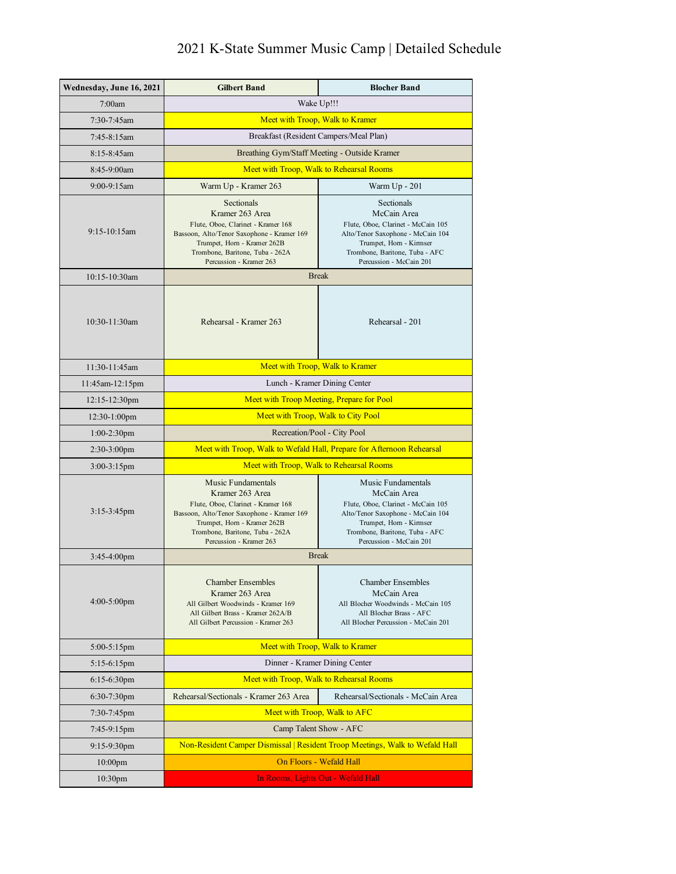| Wednesday, June 16, 2021 | <b>Gilbert Band</b>                                                                                                                                                                                                          | <b>Blocher Band</b>                                                                                                                                                                                  |  |
|--------------------------|------------------------------------------------------------------------------------------------------------------------------------------------------------------------------------------------------------------------------|------------------------------------------------------------------------------------------------------------------------------------------------------------------------------------------------------|--|
| 7:00am                   | Wake Up!!!                                                                                                                                                                                                                   |                                                                                                                                                                                                      |  |
| 7:30-7:45am              | Meet with Troop, Walk to Kramer                                                                                                                                                                                              |                                                                                                                                                                                                      |  |
| 7:45-8:15am              | Breakfast (Resident Campers/Meal Plan)                                                                                                                                                                                       |                                                                                                                                                                                                      |  |
| 8:15-8:45am              |                                                                                                                                                                                                                              | Breathing Gym/Staff Meeting - Outside Kramer                                                                                                                                                         |  |
| 8:45-9:00am              | Meet with Troop, Walk to Rehearsal Rooms                                                                                                                                                                                     |                                                                                                                                                                                                      |  |
| 9:00-9:15am              | Warm Up - Kramer 263                                                                                                                                                                                                         | Warm Up - 201                                                                                                                                                                                        |  |
| $9:15-10:15$ am          | Sectionals<br>Kramer 263 Area<br>Flute, Oboe, Clarinet - Kramer 168<br>Bassoon, Alto/Tenor Saxophone - Kramer 169<br>Trumpet, Horn - Kramer 262B<br>Trombone, Baritone, Tuba - 262A<br>Percussion - Kramer 263               | Sectionals<br>McCain Area<br>Flute, Oboe, Clarinet - McCain 105<br>Alto/Tenor Saxophone - McCain 104<br>Trumpet, Horn - Kirmser<br>Trombone, Baritone, Tuba - AFC<br>Percussion - McCain 201         |  |
| 10:15-10:30am            | <b>Break</b>                                                                                                                                                                                                                 |                                                                                                                                                                                                      |  |
| 10:30-11:30am            | Rehearsal - Kramer 263                                                                                                                                                                                                       | Rehearsal - 201                                                                                                                                                                                      |  |
| 11:30-11:45am            | Meet with Troop, Walk to Kramer                                                                                                                                                                                              |                                                                                                                                                                                                      |  |
| 11:45am-12:15pm          | Lunch - Kramer Dining Center                                                                                                                                                                                                 |                                                                                                                                                                                                      |  |
| 12:15-12:30pm            | Meet with Troop Meeting, Prepare for Pool                                                                                                                                                                                    |                                                                                                                                                                                                      |  |
| 12:30-1:00pm             | Meet with Troop, Walk to City Pool                                                                                                                                                                                           |                                                                                                                                                                                                      |  |
| 1:00-2:30pm              | Recreation/Pool - City Pool                                                                                                                                                                                                  |                                                                                                                                                                                                      |  |
| 2:30-3:00pm              | Meet with Troop, Walk to Wefald Hall, Prepare for Afternoon Rehearsal                                                                                                                                                        |                                                                                                                                                                                                      |  |
| 3:00-3:15pm              | Meet with Troop, Walk to Rehearsal Rooms                                                                                                                                                                                     |                                                                                                                                                                                                      |  |
| $3:15-3:45$ pm           | <b>Music Fundamentals</b><br>Kramer 263 Area<br>Flute, Oboe, Clarinet - Kramer 168<br>Bassoon, Alto/Tenor Saxophone - Kramer 169<br>Trumpet, Hom - Kramer 262B<br>Trombone, Baritone, Tuba - 262A<br>Percussion - Kramer 263 | Music Fundamentals<br>McCain Area<br>Flute, Oboe, Clarinet - McCain 105<br>Alto/Tenor Saxophone - McCain 104<br>Trumpet, Horn - Kirmser<br>Trombone, Baritone, Tuba - AFC<br>Percussion - McCain 201 |  |
| $3:45-4:00$ pm           | <b>Break</b>                                                                                                                                                                                                                 |                                                                                                                                                                                                      |  |
| $4:00-5:00$ pm           | <b>Chamber Ensembles</b><br>Kramer 263 Area<br>All Gilbert Woodwinds - Kramer 169<br>All Gilbert Brass - Kramer 262A/B<br>All Gilbert Percussion - Kramer 263                                                                | <b>Chamber Ensembles</b><br>McCain Area<br>All Blocher Woodwinds - McCain 105<br>All Blocher Brass - AFC<br>All Blocher Percussion - McCain 201                                                      |  |
| 5:00-5:15pm              | Meet with Troop, Walk to Kramer                                                                                                                                                                                              |                                                                                                                                                                                                      |  |
| $5:15-6:15$ pm           | Dinner - Kramer Dining Center                                                                                                                                                                                                |                                                                                                                                                                                                      |  |
| $6:15-6:30$ pm           | Meet with Troop, Walk to Rehearsal Rooms                                                                                                                                                                                     |                                                                                                                                                                                                      |  |
| $6:30-7:30$ pm           | Rehearsal/Sectionals - Kramer 263 Area                                                                                                                                                                                       | Rehearsal/Sectionals - McCain Area                                                                                                                                                                   |  |
| 7:30-7:45pm              | Meet with Troop, Walk to AFC                                                                                                                                                                                                 |                                                                                                                                                                                                      |  |
| 7:45-9:15pm              | Camp Talent Show - AFC                                                                                                                                                                                                       |                                                                                                                                                                                                      |  |
| $9:15-9:30$ pm           |                                                                                                                                                                                                                              | Non-Resident Camper Dismissal   Resident Troop Meetings, Walk to Wefald Hall                                                                                                                         |  |
| $10:00$ pm               | On Floors - Wefald Hall                                                                                                                                                                                                      |                                                                                                                                                                                                      |  |
| 10:30 <sub>pm</sub>      | In Rooms, Lights Out - Wefald Hall                                                                                                                                                                                           |                                                                                                                                                                                                      |  |